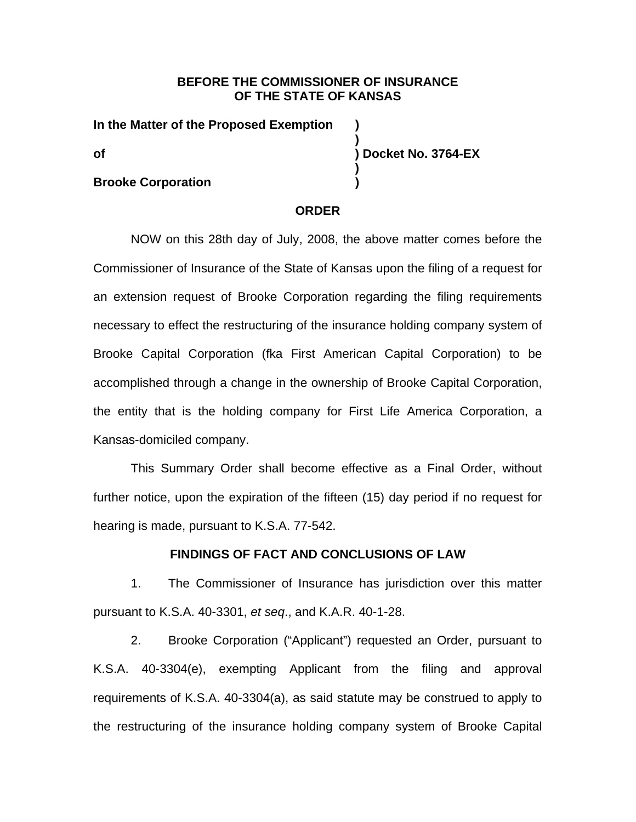# **BEFORE THE COMMISSIONER OF INSURANCE OF THE STATE OF KANSAS**

**)** 

**)** 

**In the Matter of the Proposed Exemption ) of ) Docket No. 3764-EX** 

## **Brooke Corporation** (1)

### **ORDER**

NOW on this 28th day of July, 2008, the above matter comes before the Commissioner of Insurance of the State of Kansas upon the filing of a request for an extension request of Brooke Corporation regarding the filing requirements necessary to effect the restructuring of the insurance holding company system of Brooke Capital Corporation (fka First American Capital Corporation) to be accomplished through a change in the ownership of Brooke Capital Corporation, the entity that is the holding company for First Life America Corporation, a Kansas-domiciled company.

This Summary Order shall become effective as a Final Order, without further notice, upon the expiration of the fifteen (15) day period if no request for hearing is made, pursuant to K.S.A. 77-542.

## **FINDINGS OF FACT AND CONCLUSIONS OF LAW**

1. The Commissioner of Insurance has jurisdiction over this matter pursuant to K.S.A. 40-3301, *et seq*., and K.A.R. 40-1-28.

2. Brooke Corporation ("Applicant") requested an Order, pursuant to K.S.A. 40-3304(e), exempting Applicant from the filing and approval requirements of K.S.A. 40-3304(a), as said statute may be construed to apply to the restructuring of the insurance holding company system of Brooke Capital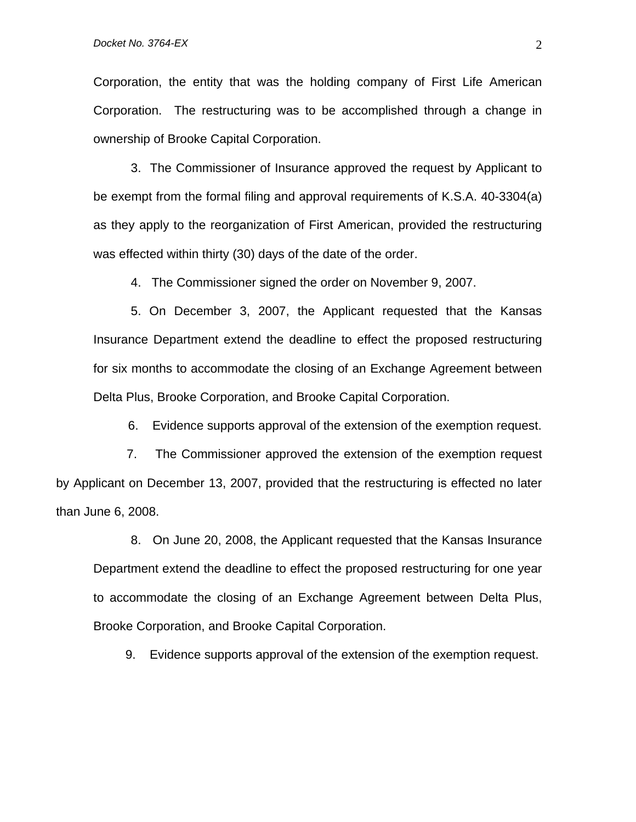Corporation, the entity that was the holding company of First Life American Corporation. The restructuring was to be accomplished through a change in ownership of Brooke Capital Corporation.

3. The Commissioner of Insurance approved the request by Applicant to be exempt from the formal filing and approval requirements of K.S.A. 40-3304(a) as they apply to the reorganization of First American, provided the restructuring was effected within thirty (30) days of the date of the order.

4. The Commissioner signed the order on November 9, 2007.

5. On December 3, 2007, the Applicant requested that the Kansas Insurance Department extend the deadline to effect the proposed restructuring for six months to accommodate the closing of an Exchange Agreement between Delta Plus, Brooke Corporation, and Brooke Capital Corporation.

6. Evidence supports approval of the extension of the exemption request.

 7. The Commissioner approved the extension of the exemption request by Applicant on December 13, 2007, provided that the restructuring is effected no later than June 6, 2008.

8. On June 20, 2008, the Applicant requested that the Kansas Insurance Department extend the deadline to effect the proposed restructuring for one year to accommodate the closing of an Exchange Agreement between Delta Plus, Brooke Corporation, and Brooke Capital Corporation.

9. Evidence supports approval of the extension of the exemption request.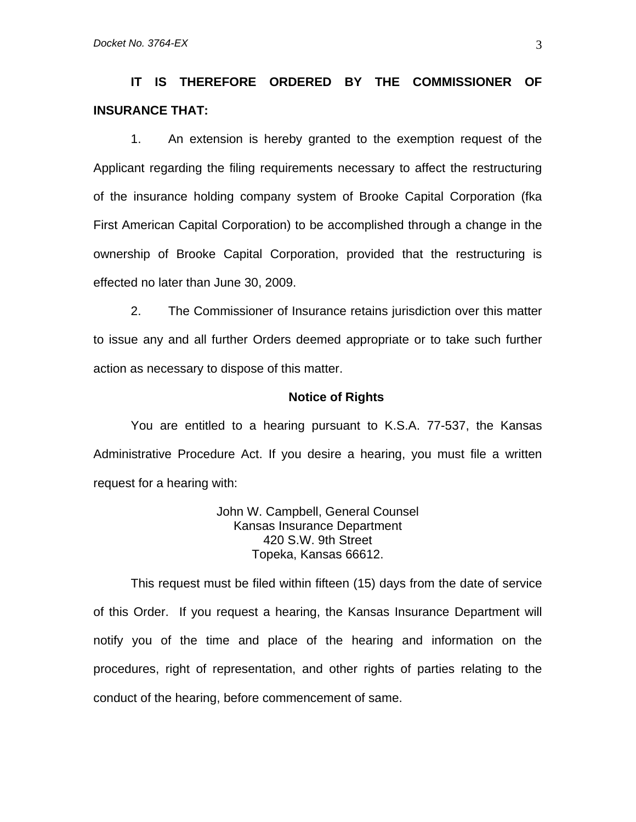**IT IS THEREFORE ORDERED BY THE COMMISSIONER OF INSURANCE THAT:** 

1. An extension is hereby granted to the exemption request of the Applicant regarding the filing requirements necessary to affect the restructuring of the insurance holding company system of Brooke Capital Corporation (fka First American Capital Corporation) to be accomplished through a change in the ownership of Brooke Capital Corporation, provided that the restructuring is effected no later than June 30, 2009.

2. The Commissioner of Insurance retains jurisdiction over this matter to issue any and all further Orders deemed appropriate or to take such further action as necessary to dispose of this matter.

### **Notice of Rights**

You are entitled to a hearing pursuant to K.S.A. 77-537, the Kansas Administrative Procedure Act. If you desire a hearing, you must file a written request for a hearing with:

> John W. Campbell, General Counsel Kansas Insurance Department 420 S.W. 9th Street Topeka, Kansas 66612.

This request must be filed within fifteen (15) days from the date of service of this Order. If you request a hearing, the Kansas Insurance Department will notify you of the time and place of the hearing and information on the procedures, right of representation, and other rights of parties relating to the conduct of the hearing, before commencement of same.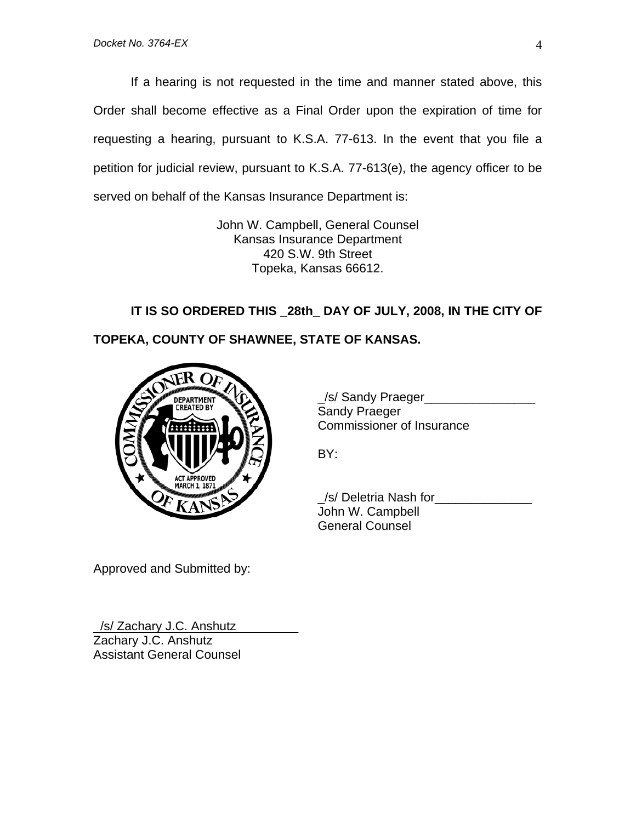If a hearing is not requested in the time and manner stated above, this Order shall become effective as a Final Order upon the expiration of time for requesting a hearing, pursuant to K.S.A. 77-613. In the event that you file a petition for judicial review, pursuant to K.S.A. 77-613(e), the agency officer to be served on behalf of the Kansas Insurance Department is:

> John W. Campbell, General Counsel Kansas Insurance Department 420 S.W. 9th Street Topeka, Kansas 66612.

**IT IS SO ORDERED THIS \_28th\_ DAY OF JULY, 2008, IN THE CITY OF TOPEKA, COUNTY OF SHAWNEE, STATE OF KANSAS.** 



 \_/s/ Sandy Praeger\_\_\_\_\_\_\_\_\_\_\_\_\_\_\_\_ Sandy Praeger Commissioner of Insurance

BY:

 \_/s/ Deletria Nash for\_\_\_\_\_\_\_\_\_\_\_\_\_\_ John W. Campbell General Counsel

Approved and Submitted by:

/s/ Zachary J.C. Anshutz Zachary J.C. Anshutz Assistant General Counsel